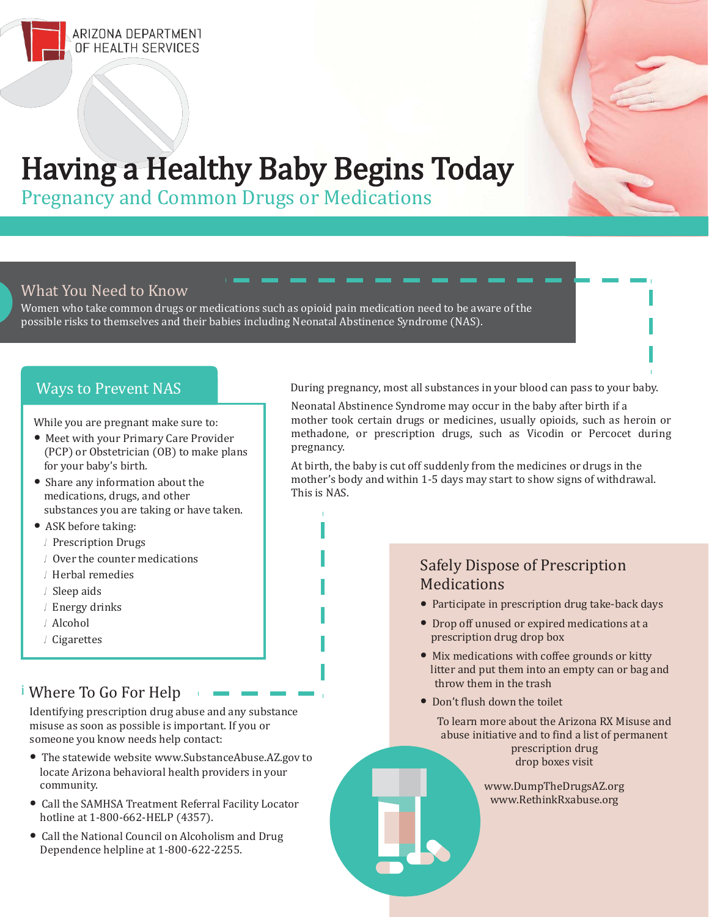

# Having a Healthy Baby Begins Today

Pregnancy and Common Drugs or Medications

#### What You Need to Know

Women who take common drugs or medications such as opioid pain medication need to be aware of the possible risks to themselves and their babies including Neonatal Abstinence Syndrome (NAS).

While you are pregnant make sure to:

- Meet with your Primary Care Provider (PCP) or Obstetrician (OB) to make plans for your baby's birth.
- Share any information about the medications, drugs, and other substances you are taking or have taken.
- ASK before taking:
	- ./ Prescription Drugs
	- ./ Over the counter medications
	- ./ Herbal remedies
	- ./ Sleep aids
	- ./ Energy drinks
	- ./ Alcohol
	- ./ Cigarettes

### ii Where To Go For Help

Identifying prescription drug abuse and any substance misuse as soon as possible is important. If you or someone you know needs help contact:

- The statewide website [www.SubstanceAbuse.AZ.gov t](http://www.substanceabuse.az.gov/)o locate Arizona behavioral health providers in your community.
- Call the SAMHSA Treatment Referral Facility Locator hotline at 1-800-662-HELP (4357).
- Call the National Council on Alcoholism and Drug Dependence helpline at 1-800-622-2255.

Ways to Prevent NAS During pregnancy, most all substances in your blood can pass to your baby.

Neonatal Abstinence Syndrome may occur in the baby after birth if a mother took certain drugs or medicines, usually opioids, such as heroin or methadone, or prescription drugs, such as Vicodin or Percocet during pregnancy.

At birth, the baby is cut off suddenly from the medicines or drugs in the mother's body and within 1-5 days may start to show signs of withdrawal. This is NAS.

#### Safely Dispose of Prescription **Medications**

- Participate in prescription drug take-back days
- Drop off unused or expired medications at a prescription drug drop box
- Mix medications with coffee grounds or kitty litter and put them into an empty can or bag and throw them in the trash
- Don't flush down the toilet

To learn more about the Arizona RX Misuse and abuse initiative and to find a list of permanent prescription drug drop boxes visit

> [www.DumpTheDrugsAZ.org](http://www.dumpthedrugsaz.org/) [www.RethinkRxabuse.org](http://www.rethinkrxabuse.org/)